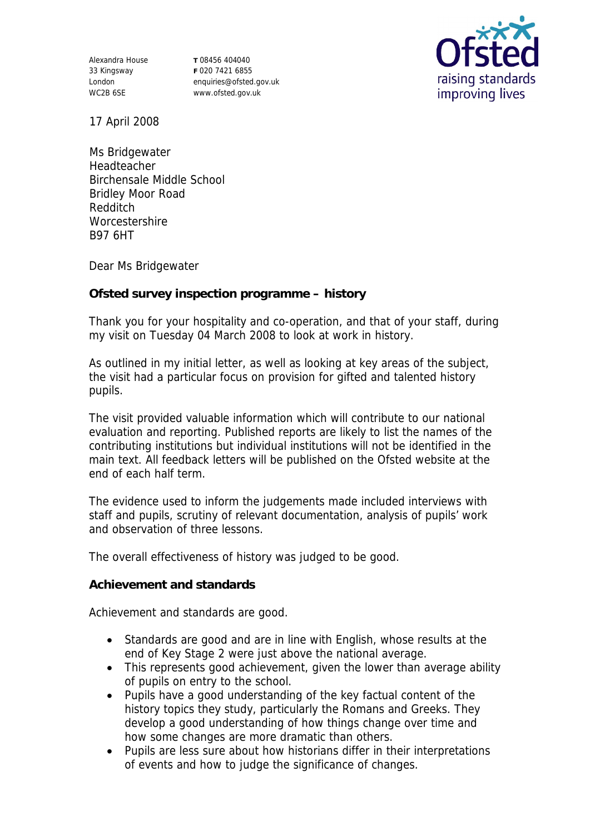Alexandra House 33 Kingsway London WC2B 6SE

**T** 08456 404040 **F** 020 7421 6855 enquiries@ofsted.gov.uk www.ofsted.gov.uk



17 April 2008

Ms Bridgewater Headteacher Birchensale Middle School Bridley Moor Road Redditch **Worcestershire** B97 6HT

Dear Ms Bridgewater

**Ofsted survey inspection programme – history**

Thank you for your hospitality and co-operation, and that of your staff, during my visit on Tuesday 04 March 2008 to look at work in history.

As outlined in my initial letter, as well as looking at key areas of the subject, the visit had a particular focus on provision for gifted and talented history pupils.

The visit provided valuable information which will contribute to our national evaluation and reporting. Published reports are likely to list the names of the contributing institutions but individual institutions will not be identified in the main text. All feedback letters will be published on the Ofsted website at the end of each half term.

The evidence used to inform the judgements made included interviews with staff and pupils, scrutiny of relevant documentation, analysis of pupils' work and observation of three lessons.

The overall effectiveness of history was judged to be good.

**Achievement and standards** 

Achievement and standards are good.

- Standards are good and are in line with English, whose results at the end of Key Stage 2 were just above the national average.
- This represents good achievement, given the lower than average ability of pupils on entry to the school.
- Pupils have a good understanding of the key factual content of the history topics they study, particularly the Romans and Greeks. They develop a good understanding of how things change over time and how some changes are more dramatic than others.
- Pupils are less sure about how historians differ in their interpretations of events and how to judge the significance of changes.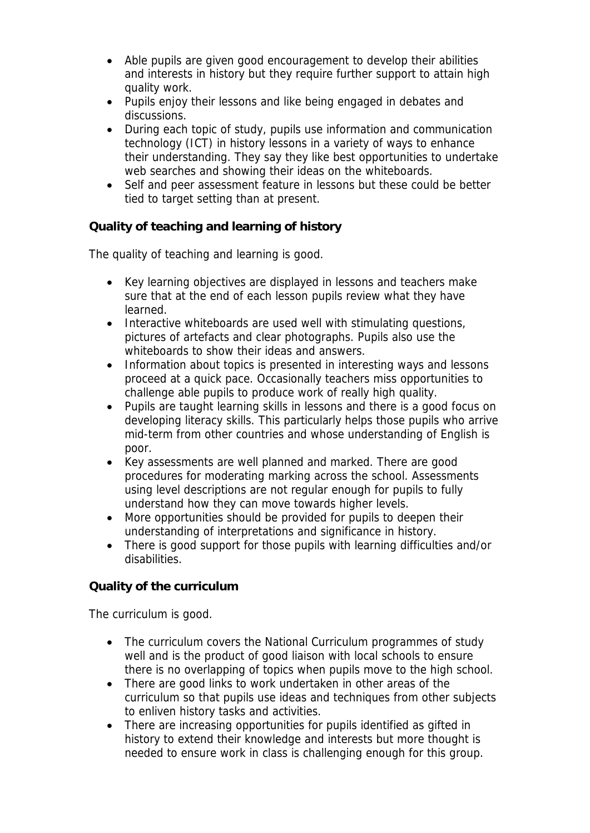- Able pupils are given good encouragement to develop their abilities and interests in history but they require further support to attain high quality work.
- Pupils enjoy their lessons and like being engaged in debates and discussions.
- During each topic of study, pupils use information and communication technology (ICT) in history lessons in a variety of ways to enhance their understanding. They say they like best opportunities to undertake web searches and showing their ideas on the whiteboards.
- Self and peer assessment feature in lessons but these could be better tied to target setting than at present.

**Quality of teaching and learning of history**

The quality of teaching and learning is good.

- Key learning objectives are displayed in lessons and teachers make sure that at the end of each lesson pupils review what they have learned.
- Interactive whiteboards are used well with stimulating questions, pictures of artefacts and clear photographs. Pupils also use the whiteboards to show their ideas and answers.
- Information about topics is presented in interesting ways and lessons proceed at a quick pace. Occasionally teachers miss opportunities to challenge able pupils to produce work of really high quality.
- Pupils are taught learning skills in lessons and there is a good focus on developing literacy skills. This particularly helps those pupils who arrive mid-term from other countries and whose understanding of English is poor.
- Key assessments are well planned and marked. There are good procedures for moderating marking across the school. Assessments using level descriptions are not regular enough for pupils to fully understand how they can move towards higher levels.
- More opportunities should be provided for pupils to deepen their understanding of interpretations and significance in history.
- There is good support for those pupils with learning difficulties and/or disabilities.

## **Quality of the curriculum**

The curriculum is good.

- The curriculum covers the National Curriculum programmes of study well and is the product of good liaison with local schools to ensure there is no overlapping of topics when pupils move to the high school.
- There are good links to work undertaken in other areas of the curriculum so that pupils use ideas and techniques from other subjects to enliven history tasks and activities.
- There are increasing opportunities for pupils identified as gifted in history to extend their knowledge and interests but more thought is needed to ensure work in class is challenging enough for this group.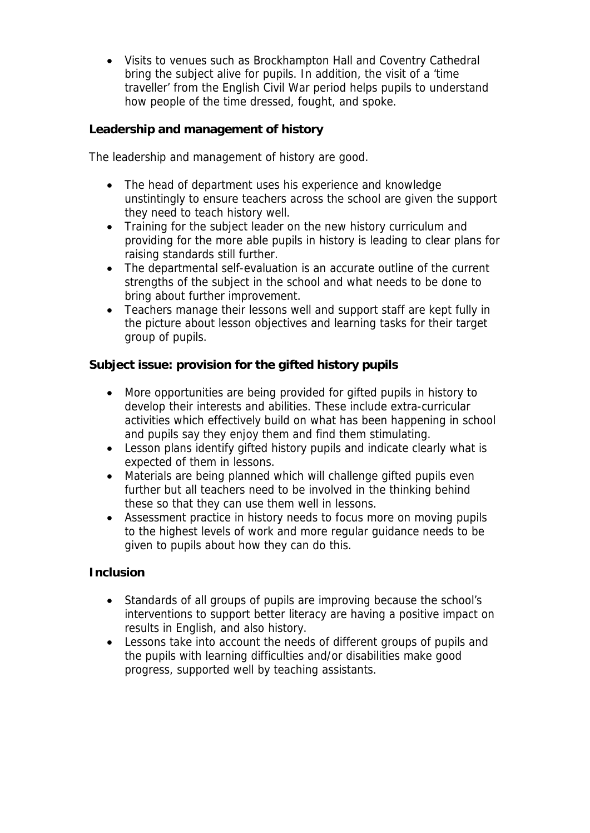Visits to venues such as Brockhampton Hall and Coventry Cathedral bring the subject alive for pupils. In addition, the visit of a 'time traveller' from the English Civil War period helps pupils to understand how people of the time dressed, fought, and spoke.

**Leadership and management of history**

The leadership and management of history are good.

- The head of department uses his experience and knowledge unstintingly to ensure teachers across the school are given the support they need to teach history well.
- Training for the subject leader on the new history curriculum and providing for the more able pupils in history is leading to clear plans for raising standards still further.
- The departmental self-evaluation is an accurate outline of the current strengths of the subject in the school and what needs to be done to bring about further improvement.
- Teachers manage their lessons well and support staff are kept fully in the picture about lesson objectives and learning tasks for their target group of pupils.

**Subject issue: provision for the gifted history pupils**

- More opportunities are being provided for gifted pupils in history to develop their interests and abilities. These include extra-curricular activities which effectively build on what has been happening in school and pupils say they enjoy them and find them stimulating.
- Lesson plans identify gifted history pupils and indicate clearly what is expected of them in lessons.
- Materials are being planned which will challenge gifted pupils even further but all teachers need to be involved in the thinking behind these so that they can use them well in lessons.
- Assessment practice in history needs to focus more on moving pupils to the highest levels of work and more regular guidance needs to be given to pupils about how they can do this.

**Inclusion**

- Standards of all groups of pupils are improving because the school's interventions to support better literacy are having a positive impact on results in English, and also history.
- Lessons take into account the needs of different groups of pupils and the pupils with learning difficulties and/or disabilities make good progress, supported well by teaching assistants.